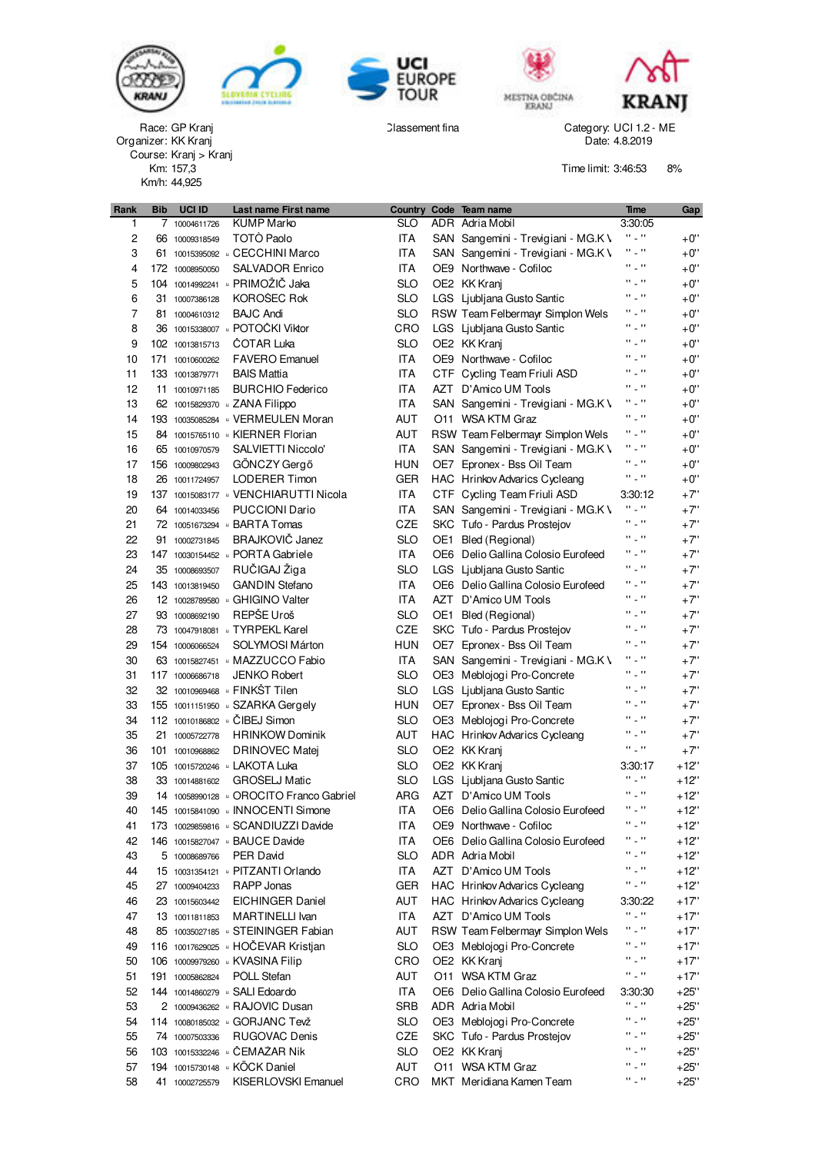











GP Kranj New York Category: UCI 1.2 - ME Category: UCI 1.2 - ME KK Kranj Date: 4.8.2019

Time limit: 3:46:53 8%

| <b>KUMP Marko</b><br>SLO<br>ADR Adria Mobil<br>3:30:05<br>1<br>10004611726<br>7<br>H 2 H<br>TOTÒ Paolo<br>$+0$ "<br>$\overline{c}$<br>ITA<br>66 10009318549<br>SAN Sangemini - Trevigiani - MG.K \<br>H _ H<br>3<br>61 10015395092 GECCHINI Marco<br>ITA<br>$+0$ "<br>SAN Sangemini - Trevigiani - MG.K \<br>H _ H<br>$+0$ ''<br><b>SALVADOR Enrico</b><br><b>ITA</b><br>OE9 Northwave - Cofiloc<br>4<br>172 10008950050<br>$\Omega_{\rm{max}}$<br>104 10014992241 · PRIMOŽIČ Jaka<br>$+0$ ''<br>5<br>SLO<br>OE2 KK Kranj<br>$\Omega_{\rm{max}}$<br>KOROŠEC Rok<br>$+0$ ''<br>6<br>SLO<br>31 10007386128<br>LGS Ljubljana Gusto Santic<br>7<br>H _ H<br>$+0$ "<br><b>BAJC Andi</b><br>SLO<br>RSW Team Felbermayr Simplon Wels<br>81 10004610312<br>36 10015338007 DOTOČKI Viktor<br>H _ H<br>$+0$ ''<br>8<br>CRO<br>LGS Ljubljana Gusto Santic<br>H _ H<br>9<br>COTAR Luka<br>SLO<br>OE2 KK Kranj<br>+0"<br>102 10013815713<br>H _ H<br><b>FAVERO</b> Emanuel<br>ITA<br>OE9 Northwave - Cofiloc<br>$+0$ "<br>10<br>171 10010600262<br>H _ H<br><b>BAIS Mattia</b><br>ITA<br>CTF Cycling Team Friuli ASD<br>$+0$ "<br>11<br>133 10013879771<br>H _ H<br><b>ITA</b><br>$+0$ "<br>12<br><b>BURCHIO Federico</b><br>AZT D'Amico UM Tools<br>11 10010971185<br><b>ITA</b><br>H _ H<br>$+0$ "<br>13<br>62 10015829370 · ZANA Filippo<br>SAN Sangemini - Trevigiani - MG.K \<br><b>AUT</b><br>H _ H<br>$+0$ "<br>193 10035085284 J VERMEULEN Moran<br>14<br>O11 WSA KTM Graz<br>H _ H<br>84 10015765110 B KIERNER Florian<br>AUT<br>RSW Team Felbermayr Simplon Wels<br>$+0$ "<br>15<br>H _ H<br>SALVIETTI Niccolo'<br>ITA<br>$+0$ "<br>16<br>SAN Sangemini - Trevigiani - MG.K \<br>65 10010970579<br>$\Omega_{\rm{max}}$<br>$+0$ "<br>GÖNCZY Gergő<br><b>HUN</b><br>17<br>OE7 Epronex - Bss Oil Team<br>156 10009802943<br>$\Omega_{\rm{max}}$<br>$+0$ ''<br><b>LODERER Timon</b><br>GER<br><b>HAC</b> Hrinkov Advarics Cycleang<br>18<br>26 10011724957<br>137 10015083177 · VENCHIARUTTI Nicola<br>ITA<br>$+7"$<br>19<br>CTF Cycling Team Friuli ASD<br>3:30:12<br>H 2 H<br>$+7"$<br><b>PUCCIONI Dario</b><br>ITA<br>20<br>SAN Sangemini - Trevigiani - MG.K \<br>64 10014033456<br>H _ H<br>21<br>72 10051673294 BARTA Tomas<br>CZE<br>SKC Tufo - Pardus Prostejov<br>$+7"$<br>$\Omega_{\rm{max}}$<br><b>BRAJKOVIČ Janez</b><br>22<br>SLO<br>Bled (Regional)<br>$+7"$<br>OE1<br>91 10002731845<br>H _ H<br>147 10030154452 DORTA Gabriele<br>ITA<br>+7"<br>23<br>OE6 Delio Gallina Colosio Eurofeed<br>RUČIGAJ Žiga<br>H _ H<br>$+7"$<br>24<br>SLO<br>LGS Ljubljana Gusto Santic<br>35 10008693507<br>H _ H<br>25<br><b>GANDIN Stefano</b><br>ITA<br>$+7"$<br>143 10013819450<br>OE6 Delio Gallina Colosio Eurofeed<br>H _ H<br>$+7"$<br>12 10028789580 GHIGINO Valter<br>ITA<br>AZT D'Amico UM Tools<br>26<br>H _ H<br>REPŠE Uroš<br>27<br>SLO<br>Bled (Regional)<br>$+7"$<br>93 10008692190<br>OE1<br>H _ H<br>28<br>73 10047918081 J TYRPEKL Karel<br>CZE<br>SKC Tufo - Pardus Prostejov<br>$+7"$<br>$\Omega_{\rm{max}}$<br><b>HUN</b><br>+7"<br>29<br>154 10006066524<br><b>SOLYMOSI Márton</b><br>OE7 Epronex - Bss Oil Team<br>H _ H<br>$+7"$<br>63 10015827451 MAZZUCCO Fabio<br>ITA<br>30<br>SAN Sangemini - Trevigiani - MG.K \<br>H _ H<br>31<br><b>JENKO Robert</b><br>SLO<br>$+7"$<br>117 10006686718<br>OE3 Meblojogi Pro-Concrete<br>32 10010969468 J FINKŠT Tilen<br>H _ H<br>32<br>SLO<br>LGS Ljubljana Gusto Santic<br>$+7"$<br>H _ H<br>33<br>155 10011151950 J SZARKA Gergely<br>HUN<br>Epronex - Bss Oil Team<br>$+7"$<br>OE7<br>H _ H<br>112 10010186802 GIBEJ Simon<br>SLO<br>$+7"$<br>34<br>OE3 Meblojogi Pro-Concrete<br>$\Omega_{\rm{max}}$<br>AUT<br>+7"<br>35<br>21 10005722778<br><b>HRINKOW Dominik</b><br>HAC Hrinkov Advarics Cycleang<br>$\Omega_{\rm{max}}$<br><b>DRINOVEC Matej</b><br>SLO<br>OE2 KK Kranj<br>$+7"$<br>36<br>101 10010968862<br>37<br>105 10015720246 LAKOTA Luka<br><b>SLO</b><br>OE2 KK Kranj<br>3:30:17<br>+12"<br>GROŠELJ Matic<br>H _ H<br>38<br><b>SLO</b><br>33 10014881602<br>LGS Ljubljana Gusto Santic<br>+12"<br>H _ H<br>39<br>14 10058990128 · OROCITO Franco Gabriel<br>ARG<br>AZT D'Amico UM Tools<br>$+12"$<br>$\Omega_{\rm{max}}$ and<br><b>ITA</b><br>$+12"$<br>40<br>145 10015841090 JINNOCENTI Simone<br>OE6 Delio Gallina Colosio Eurofeed<br>H _ H<br>ITA<br>173 10029859816 GSCANDIUZZI Davide<br>OE9 Northwave - Cofiloc<br>$+12"$<br>41<br>H _ H<br><b>ITA</b><br>146 10015827047 BAUCE Davide<br>OE6 Delio Gallina Colosio Eurofeed<br>42<br>+12"<br>H _ H<br>43<br>PER David<br>SLO<br>ADR Adria Mobil<br>$+12"$<br>5 10008689766<br>H _ H<br>15 10031354121 DITZANTI Orlando<br>ITA<br>AZT D'Amico UM Tools<br>44<br>+12"<br>H _ H<br>RAPP Jonas<br><b>GER</b><br>HAC Hrinkov Advarics Cycleang<br>45<br>27 10009404233<br>$+12"$<br><b>AUT</b><br>46<br>EICHINGER Daniel<br>HAC Hrinkov Advarics Cycleang<br>3:30:22<br>+17"<br>23 10015603442<br>$\Omega_{\rm{max}}$<br>ITA<br>AZT D'Amico UM Tools<br>47<br><b>MARTINELLI Ivan</b><br>+17"<br>13 10011811853<br>H _ H<br>85 10035027185 GTEININGER Fabian<br>AUT<br>RSW Team Felbermayr Simplon Wels<br>$+17"$<br>48<br>H 2 H<br>116 10017629025 J HOCEVAR Kristjan<br><b>SLO</b><br>49<br>OE3 Meblojogi Pro-Concrete<br>+17"<br>H _ H<br>CRO<br>OE2 KK Kranj<br>50<br>106 10009979260 · KVASINA Filip<br>+17"<br>H _ H<br>51<br>PÖLL Stefan<br>AUT<br>O11 WSA KTM Graz<br>191 10005862824<br>$+17"$<br><b>ITA</b><br>52<br>OE6 Delio Gallina Colosio Eurofeed<br>144 10014860279 J SALI Edoardo<br>$+25"$<br>3:30:30<br>$\Omega_{\rm{max}}$ and<br><b>SRB</b><br>2 10009436262 · RAJOVIC Dusan<br>ADR Adria Mobil<br>53<br>$+25"$<br>H _ H<br>114 10080185032 GORJANC Tevž<br>SLO<br>54<br>OE3 Meblojogi Pro-Concrete<br>$+25"$<br>H _ H<br><b>RUGOVAC Denis</b><br>CZE<br>55<br>SKC Tufo - Pardus Prostejov<br>$+25"$<br>74 10007503336<br>103 10015332246 <b>· ČEMAŽAR Nik</b><br>H _ H<br>SLO<br>OE2 KK Kranj<br>56<br>$+25"$<br>H _ H<br>194 10015730148 · KÖCK Daniel<br>57<br>AUT<br>O11 WSA KTM Graz<br>$+25"$<br>$\Omega_{\rm{max}}$<br>KISERLOVSKI Emanuel<br>CRO<br>MKT Meridiana Kamen Team<br>58<br>$+25"$<br>41 10002725579 | Rank | <b>Bib</b> | <b>UCI ID</b> | Last name First name |  | Country Code Team name | <b>Time</b> | Gap |
|--------------------------------------------------------------------------------------------------------------------------------------------------------------------------------------------------------------------------------------------------------------------------------------------------------------------------------------------------------------------------------------------------------------------------------------------------------------------------------------------------------------------------------------------------------------------------------------------------------------------------------------------------------------------------------------------------------------------------------------------------------------------------------------------------------------------------------------------------------------------------------------------------------------------------------------------------------------------------------------------------------------------------------------------------------------------------------------------------------------------------------------------------------------------------------------------------------------------------------------------------------------------------------------------------------------------------------------------------------------------------------------------------------------------------------------------------------------------------------------------------------------------------------------------------------------------------------------------------------------------------------------------------------------------------------------------------------------------------------------------------------------------------------------------------------------------------------------------------------------------------------------------------------------------------------------------------------------------------------------------------------------------------------------------------------------------------------------------------------------------------------------------------------------------------------------------------------------------------------------------------------------------------------------------------------------------------------------------------------------------------------------------------------------------------------------------------------------------------------------------------------------------------------------------------------------------------------------------------------------------------------------------------------------------------------------------------------------------------------------------------------------------------------------------------------------------------------------------------------------------------------------------------------------------------------------------------------------------------------------------------------------------------------------------------------------------------------------------------------------------------------------------------------------------------------------------------------------------------------------------------------------------------------------------------------------------------------------------------------------------------------------------------------------------------------------------------------------------------------------------------------------------------------------------------------------------------------------------------------------------------------------------------------------------------------------------------------------------------------------------------------------------------------------------------------------------------------------------------------------------------------------------------------------------------------------------------------------------------------------------------------------------------------------------------------------------------------------------------------------------------------------------------------------------------------------------------------------------------------------------------------------------------------------------------------------------------------------------------------------------------------------------------------------------------------------------------------------------------------------------------------------------------------------------------------------------------------------------------------------------------------------------------------------------------------------------------------------------------------------------------------------------------------------------------------------------------------------------------------------------------------------------------------------------------------------------------------------------------------------------------------------------------------------------------------------------------------------------------------------------------------------------------------------------------------------------------------------------------------------------------------------------------------------------------------------------------------------------------------------------------------------------------------------------------------------------------------------------------------------------------------------------------------------------------------------------------------------------------------------------------------------------------------------------------------------------------------------------------------------------------------------------------------------------------------------------------------------------------------------------------------------------------------------------------------------------------------------------------------------------------------------------------------------------------------------------------------------------------------------------------------------------------------------------------|------|------------|---------------|----------------------|--|------------------------|-------------|-----|
|                                                                                                                                                                                                                                                                                                                                                                                                                                                                                                                                                                                                                                                                                                                                                                                                                                                                                                                                                                                                                                                                                                                                                                                                                                                                                                                                                                                                                                                                                                                                                                                                                                                                                                                                                                                                                                                                                                                                                                                                                                                                                                                                                                                                                                                                                                                                                                                                                                                                                                                                                                                                                                                                                                                                                                                                                                                                                                                                                                                                                                                                                                                                                                                                                                                                                                                                                                                                                                                                                                                                                                                                                                                                                                                                                                                                                                                                                                                                                                                                                                                                                                                                                                                                                                                                                                                                                                                                                                                                                                                                                                                                                                                                                                                                                                                                                                                                                                                                                                                                                                                                                                                                                                                                                                                                                                                                                                                                                                                                                                                                                                                                                                                                                                                                                                                                                                                                                                                                                                                                                                                                                                                                                                          |      |            |               |                      |  |                        |             |     |
|                                                                                                                                                                                                                                                                                                                                                                                                                                                                                                                                                                                                                                                                                                                                                                                                                                                                                                                                                                                                                                                                                                                                                                                                                                                                                                                                                                                                                                                                                                                                                                                                                                                                                                                                                                                                                                                                                                                                                                                                                                                                                                                                                                                                                                                                                                                                                                                                                                                                                                                                                                                                                                                                                                                                                                                                                                                                                                                                                                                                                                                                                                                                                                                                                                                                                                                                                                                                                                                                                                                                                                                                                                                                                                                                                                                                                                                                                                                                                                                                                                                                                                                                                                                                                                                                                                                                                                                                                                                                                                                                                                                                                                                                                                                                                                                                                                                                                                                                                                                                                                                                                                                                                                                                                                                                                                                                                                                                                                                                                                                                                                                                                                                                                                                                                                                                                                                                                                                                                                                                                                                                                                                                                                          |      |            |               |                      |  |                        |             |     |
|                                                                                                                                                                                                                                                                                                                                                                                                                                                                                                                                                                                                                                                                                                                                                                                                                                                                                                                                                                                                                                                                                                                                                                                                                                                                                                                                                                                                                                                                                                                                                                                                                                                                                                                                                                                                                                                                                                                                                                                                                                                                                                                                                                                                                                                                                                                                                                                                                                                                                                                                                                                                                                                                                                                                                                                                                                                                                                                                                                                                                                                                                                                                                                                                                                                                                                                                                                                                                                                                                                                                                                                                                                                                                                                                                                                                                                                                                                                                                                                                                                                                                                                                                                                                                                                                                                                                                                                                                                                                                                                                                                                                                                                                                                                                                                                                                                                                                                                                                                                                                                                                                                                                                                                                                                                                                                                                                                                                                                                                                                                                                                                                                                                                                                                                                                                                                                                                                                                                                                                                                                                                                                                                                                          |      |            |               |                      |  |                        |             |     |
|                                                                                                                                                                                                                                                                                                                                                                                                                                                                                                                                                                                                                                                                                                                                                                                                                                                                                                                                                                                                                                                                                                                                                                                                                                                                                                                                                                                                                                                                                                                                                                                                                                                                                                                                                                                                                                                                                                                                                                                                                                                                                                                                                                                                                                                                                                                                                                                                                                                                                                                                                                                                                                                                                                                                                                                                                                                                                                                                                                                                                                                                                                                                                                                                                                                                                                                                                                                                                                                                                                                                                                                                                                                                                                                                                                                                                                                                                                                                                                                                                                                                                                                                                                                                                                                                                                                                                                                                                                                                                                                                                                                                                                                                                                                                                                                                                                                                                                                                                                                                                                                                                                                                                                                                                                                                                                                                                                                                                                                                                                                                                                                                                                                                                                                                                                                                                                                                                                                                                                                                                                                                                                                                                                          |      |            |               |                      |  |                        |             |     |
|                                                                                                                                                                                                                                                                                                                                                                                                                                                                                                                                                                                                                                                                                                                                                                                                                                                                                                                                                                                                                                                                                                                                                                                                                                                                                                                                                                                                                                                                                                                                                                                                                                                                                                                                                                                                                                                                                                                                                                                                                                                                                                                                                                                                                                                                                                                                                                                                                                                                                                                                                                                                                                                                                                                                                                                                                                                                                                                                                                                                                                                                                                                                                                                                                                                                                                                                                                                                                                                                                                                                                                                                                                                                                                                                                                                                                                                                                                                                                                                                                                                                                                                                                                                                                                                                                                                                                                                                                                                                                                                                                                                                                                                                                                                                                                                                                                                                                                                                                                                                                                                                                                                                                                                                                                                                                                                                                                                                                                                                                                                                                                                                                                                                                                                                                                                                                                                                                                                                                                                                                                                                                                                                                                          |      |            |               |                      |  |                        |             |     |
|                                                                                                                                                                                                                                                                                                                                                                                                                                                                                                                                                                                                                                                                                                                                                                                                                                                                                                                                                                                                                                                                                                                                                                                                                                                                                                                                                                                                                                                                                                                                                                                                                                                                                                                                                                                                                                                                                                                                                                                                                                                                                                                                                                                                                                                                                                                                                                                                                                                                                                                                                                                                                                                                                                                                                                                                                                                                                                                                                                                                                                                                                                                                                                                                                                                                                                                                                                                                                                                                                                                                                                                                                                                                                                                                                                                                                                                                                                                                                                                                                                                                                                                                                                                                                                                                                                                                                                                                                                                                                                                                                                                                                                                                                                                                                                                                                                                                                                                                                                                                                                                                                                                                                                                                                                                                                                                                                                                                                                                                                                                                                                                                                                                                                                                                                                                                                                                                                                                                                                                                                                                                                                                                                                          |      |            |               |                      |  |                        |             |     |
|                                                                                                                                                                                                                                                                                                                                                                                                                                                                                                                                                                                                                                                                                                                                                                                                                                                                                                                                                                                                                                                                                                                                                                                                                                                                                                                                                                                                                                                                                                                                                                                                                                                                                                                                                                                                                                                                                                                                                                                                                                                                                                                                                                                                                                                                                                                                                                                                                                                                                                                                                                                                                                                                                                                                                                                                                                                                                                                                                                                                                                                                                                                                                                                                                                                                                                                                                                                                                                                                                                                                                                                                                                                                                                                                                                                                                                                                                                                                                                                                                                                                                                                                                                                                                                                                                                                                                                                                                                                                                                                                                                                                                                                                                                                                                                                                                                                                                                                                                                                                                                                                                                                                                                                                                                                                                                                                                                                                                                                                                                                                                                                                                                                                                                                                                                                                                                                                                                                                                                                                                                                                                                                                                                          |      |            |               |                      |  |                        |             |     |
|                                                                                                                                                                                                                                                                                                                                                                                                                                                                                                                                                                                                                                                                                                                                                                                                                                                                                                                                                                                                                                                                                                                                                                                                                                                                                                                                                                                                                                                                                                                                                                                                                                                                                                                                                                                                                                                                                                                                                                                                                                                                                                                                                                                                                                                                                                                                                                                                                                                                                                                                                                                                                                                                                                                                                                                                                                                                                                                                                                                                                                                                                                                                                                                                                                                                                                                                                                                                                                                                                                                                                                                                                                                                                                                                                                                                                                                                                                                                                                                                                                                                                                                                                                                                                                                                                                                                                                                                                                                                                                                                                                                                                                                                                                                                                                                                                                                                                                                                                                                                                                                                                                                                                                                                                                                                                                                                                                                                                                                                                                                                                                                                                                                                                                                                                                                                                                                                                                                                                                                                                                                                                                                                                                          |      |            |               |                      |  |                        |             |     |
|                                                                                                                                                                                                                                                                                                                                                                                                                                                                                                                                                                                                                                                                                                                                                                                                                                                                                                                                                                                                                                                                                                                                                                                                                                                                                                                                                                                                                                                                                                                                                                                                                                                                                                                                                                                                                                                                                                                                                                                                                                                                                                                                                                                                                                                                                                                                                                                                                                                                                                                                                                                                                                                                                                                                                                                                                                                                                                                                                                                                                                                                                                                                                                                                                                                                                                                                                                                                                                                                                                                                                                                                                                                                                                                                                                                                                                                                                                                                                                                                                                                                                                                                                                                                                                                                                                                                                                                                                                                                                                                                                                                                                                                                                                                                                                                                                                                                                                                                                                                                                                                                                                                                                                                                                                                                                                                                                                                                                                                                                                                                                                                                                                                                                                                                                                                                                                                                                                                                                                                                                                                                                                                                                                          |      |            |               |                      |  |                        |             |     |
|                                                                                                                                                                                                                                                                                                                                                                                                                                                                                                                                                                                                                                                                                                                                                                                                                                                                                                                                                                                                                                                                                                                                                                                                                                                                                                                                                                                                                                                                                                                                                                                                                                                                                                                                                                                                                                                                                                                                                                                                                                                                                                                                                                                                                                                                                                                                                                                                                                                                                                                                                                                                                                                                                                                                                                                                                                                                                                                                                                                                                                                                                                                                                                                                                                                                                                                                                                                                                                                                                                                                                                                                                                                                                                                                                                                                                                                                                                                                                                                                                                                                                                                                                                                                                                                                                                                                                                                                                                                                                                                                                                                                                                                                                                                                                                                                                                                                                                                                                                                                                                                                                                                                                                                                                                                                                                                                                                                                                                                                                                                                                                                                                                                                                                                                                                                                                                                                                                                                                                                                                                                                                                                                                                          |      |            |               |                      |  |                        |             |     |
|                                                                                                                                                                                                                                                                                                                                                                                                                                                                                                                                                                                                                                                                                                                                                                                                                                                                                                                                                                                                                                                                                                                                                                                                                                                                                                                                                                                                                                                                                                                                                                                                                                                                                                                                                                                                                                                                                                                                                                                                                                                                                                                                                                                                                                                                                                                                                                                                                                                                                                                                                                                                                                                                                                                                                                                                                                                                                                                                                                                                                                                                                                                                                                                                                                                                                                                                                                                                                                                                                                                                                                                                                                                                                                                                                                                                                                                                                                                                                                                                                                                                                                                                                                                                                                                                                                                                                                                                                                                                                                                                                                                                                                                                                                                                                                                                                                                                                                                                                                                                                                                                                                                                                                                                                                                                                                                                                                                                                                                                                                                                                                                                                                                                                                                                                                                                                                                                                                                                                                                                                                                                                                                                                                          |      |            |               |                      |  |                        |             |     |
|                                                                                                                                                                                                                                                                                                                                                                                                                                                                                                                                                                                                                                                                                                                                                                                                                                                                                                                                                                                                                                                                                                                                                                                                                                                                                                                                                                                                                                                                                                                                                                                                                                                                                                                                                                                                                                                                                                                                                                                                                                                                                                                                                                                                                                                                                                                                                                                                                                                                                                                                                                                                                                                                                                                                                                                                                                                                                                                                                                                                                                                                                                                                                                                                                                                                                                                                                                                                                                                                                                                                                                                                                                                                                                                                                                                                                                                                                                                                                                                                                                                                                                                                                                                                                                                                                                                                                                                                                                                                                                                                                                                                                                                                                                                                                                                                                                                                                                                                                                                                                                                                                                                                                                                                                                                                                                                                                                                                                                                                                                                                                                                                                                                                                                                                                                                                                                                                                                                                                                                                                                                                                                                                                                          |      |            |               |                      |  |                        |             |     |
|                                                                                                                                                                                                                                                                                                                                                                                                                                                                                                                                                                                                                                                                                                                                                                                                                                                                                                                                                                                                                                                                                                                                                                                                                                                                                                                                                                                                                                                                                                                                                                                                                                                                                                                                                                                                                                                                                                                                                                                                                                                                                                                                                                                                                                                                                                                                                                                                                                                                                                                                                                                                                                                                                                                                                                                                                                                                                                                                                                                                                                                                                                                                                                                                                                                                                                                                                                                                                                                                                                                                                                                                                                                                                                                                                                                                                                                                                                                                                                                                                                                                                                                                                                                                                                                                                                                                                                                                                                                                                                                                                                                                                                                                                                                                                                                                                                                                                                                                                                                                                                                                                                                                                                                                                                                                                                                                                                                                                                                                                                                                                                                                                                                                                                                                                                                                                                                                                                                                                                                                                                                                                                                                                                          |      |            |               |                      |  |                        |             |     |
|                                                                                                                                                                                                                                                                                                                                                                                                                                                                                                                                                                                                                                                                                                                                                                                                                                                                                                                                                                                                                                                                                                                                                                                                                                                                                                                                                                                                                                                                                                                                                                                                                                                                                                                                                                                                                                                                                                                                                                                                                                                                                                                                                                                                                                                                                                                                                                                                                                                                                                                                                                                                                                                                                                                                                                                                                                                                                                                                                                                                                                                                                                                                                                                                                                                                                                                                                                                                                                                                                                                                                                                                                                                                                                                                                                                                                                                                                                                                                                                                                                                                                                                                                                                                                                                                                                                                                                                                                                                                                                                                                                                                                                                                                                                                                                                                                                                                                                                                                                                                                                                                                                                                                                                                                                                                                                                                                                                                                                                                                                                                                                                                                                                                                                                                                                                                                                                                                                                                                                                                                                                                                                                                                                          |      |            |               |                      |  |                        |             |     |
|                                                                                                                                                                                                                                                                                                                                                                                                                                                                                                                                                                                                                                                                                                                                                                                                                                                                                                                                                                                                                                                                                                                                                                                                                                                                                                                                                                                                                                                                                                                                                                                                                                                                                                                                                                                                                                                                                                                                                                                                                                                                                                                                                                                                                                                                                                                                                                                                                                                                                                                                                                                                                                                                                                                                                                                                                                                                                                                                                                                                                                                                                                                                                                                                                                                                                                                                                                                                                                                                                                                                                                                                                                                                                                                                                                                                                                                                                                                                                                                                                                                                                                                                                                                                                                                                                                                                                                                                                                                                                                                                                                                                                                                                                                                                                                                                                                                                                                                                                                                                                                                                                                                                                                                                                                                                                                                                                                                                                                                                                                                                                                                                                                                                                                                                                                                                                                                                                                                                                                                                                                                                                                                                                                          |      |            |               |                      |  |                        |             |     |
|                                                                                                                                                                                                                                                                                                                                                                                                                                                                                                                                                                                                                                                                                                                                                                                                                                                                                                                                                                                                                                                                                                                                                                                                                                                                                                                                                                                                                                                                                                                                                                                                                                                                                                                                                                                                                                                                                                                                                                                                                                                                                                                                                                                                                                                                                                                                                                                                                                                                                                                                                                                                                                                                                                                                                                                                                                                                                                                                                                                                                                                                                                                                                                                                                                                                                                                                                                                                                                                                                                                                                                                                                                                                                                                                                                                                                                                                                                                                                                                                                                                                                                                                                                                                                                                                                                                                                                                                                                                                                                                                                                                                                                                                                                                                                                                                                                                                                                                                                                                                                                                                                                                                                                                                                                                                                                                                                                                                                                                                                                                                                                                                                                                                                                                                                                                                                                                                                                                                                                                                                                                                                                                                                                          |      |            |               |                      |  |                        |             |     |
|                                                                                                                                                                                                                                                                                                                                                                                                                                                                                                                                                                                                                                                                                                                                                                                                                                                                                                                                                                                                                                                                                                                                                                                                                                                                                                                                                                                                                                                                                                                                                                                                                                                                                                                                                                                                                                                                                                                                                                                                                                                                                                                                                                                                                                                                                                                                                                                                                                                                                                                                                                                                                                                                                                                                                                                                                                                                                                                                                                                                                                                                                                                                                                                                                                                                                                                                                                                                                                                                                                                                                                                                                                                                                                                                                                                                                                                                                                                                                                                                                                                                                                                                                                                                                                                                                                                                                                                                                                                                                                                                                                                                                                                                                                                                                                                                                                                                                                                                                                                                                                                                                                                                                                                                                                                                                                                                                                                                                                                                                                                                                                                                                                                                                                                                                                                                                                                                                                                                                                                                                                                                                                                                                                          |      |            |               |                      |  |                        |             |     |
|                                                                                                                                                                                                                                                                                                                                                                                                                                                                                                                                                                                                                                                                                                                                                                                                                                                                                                                                                                                                                                                                                                                                                                                                                                                                                                                                                                                                                                                                                                                                                                                                                                                                                                                                                                                                                                                                                                                                                                                                                                                                                                                                                                                                                                                                                                                                                                                                                                                                                                                                                                                                                                                                                                                                                                                                                                                                                                                                                                                                                                                                                                                                                                                                                                                                                                                                                                                                                                                                                                                                                                                                                                                                                                                                                                                                                                                                                                                                                                                                                                                                                                                                                                                                                                                                                                                                                                                                                                                                                                                                                                                                                                                                                                                                                                                                                                                                                                                                                                                                                                                                                                                                                                                                                                                                                                                                                                                                                                                                                                                                                                                                                                                                                                                                                                                                                                                                                                                                                                                                                                                                                                                                                                          |      |            |               |                      |  |                        |             |     |
|                                                                                                                                                                                                                                                                                                                                                                                                                                                                                                                                                                                                                                                                                                                                                                                                                                                                                                                                                                                                                                                                                                                                                                                                                                                                                                                                                                                                                                                                                                                                                                                                                                                                                                                                                                                                                                                                                                                                                                                                                                                                                                                                                                                                                                                                                                                                                                                                                                                                                                                                                                                                                                                                                                                                                                                                                                                                                                                                                                                                                                                                                                                                                                                                                                                                                                                                                                                                                                                                                                                                                                                                                                                                                                                                                                                                                                                                                                                                                                                                                                                                                                                                                                                                                                                                                                                                                                                                                                                                                                                                                                                                                                                                                                                                                                                                                                                                                                                                                                                                                                                                                                                                                                                                                                                                                                                                                                                                                                                                                                                                                                                                                                                                                                                                                                                                                                                                                                                                                                                                                                                                                                                                                                          |      |            |               |                      |  |                        |             |     |
|                                                                                                                                                                                                                                                                                                                                                                                                                                                                                                                                                                                                                                                                                                                                                                                                                                                                                                                                                                                                                                                                                                                                                                                                                                                                                                                                                                                                                                                                                                                                                                                                                                                                                                                                                                                                                                                                                                                                                                                                                                                                                                                                                                                                                                                                                                                                                                                                                                                                                                                                                                                                                                                                                                                                                                                                                                                                                                                                                                                                                                                                                                                                                                                                                                                                                                                                                                                                                                                                                                                                                                                                                                                                                                                                                                                                                                                                                                                                                                                                                                                                                                                                                                                                                                                                                                                                                                                                                                                                                                                                                                                                                                                                                                                                                                                                                                                                                                                                                                                                                                                                                                                                                                                                                                                                                                                                                                                                                                                                                                                                                                                                                                                                                                                                                                                                                                                                                                                                                                                                                                                                                                                                                                          |      |            |               |                      |  |                        |             |     |
|                                                                                                                                                                                                                                                                                                                                                                                                                                                                                                                                                                                                                                                                                                                                                                                                                                                                                                                                                                                                                                                                                                                                                                                                                                                                                                                                                                                                                                                                                                                                                                                                                                                                                                                                                                                                                                                                                                                                                                                                                                                                                                                                                                                                                                                                                                                                                                                                                                                                                                                                                                                                                                                                                                                                                                                                                                                                                                                                                                                                                                                                                                                                                                                                                                                                                                                                                                                                                                                                                                                                                                                                                                                                                                                                                                                                                                                                                                                                                                                                                                                                                                                                                                                                                                                                                                                                                                                                                                                                                                                                                                                                                                                                                                                                                                                                                                                                                                                                                                                                                                                                                                                                                                                                                                                                                                                                                                                                                                                                                                                                                                                                                                                                                                                                                                                                                                                                                                                                                                                                                                                                                                                                                                          |      |            |               |                      |  |                        |             |     |
|                                                                                                                                                                                                                                                                                                                                                                                                                                                                                                                                                                                                                                                                                                                                                                                                                                                                                                                                                                                                                                                                                                                                                                                                                                                                                                                                                                                                                                                                                                                                                                                                                                                                                                                                                                                                                                                                                                                                                                                                                                                                                                                                                                                                                                                                                                                                                                                                                                                                                                                                                                                                                                                                                                                                                                                                                                                                                                                                                                                                                                                                                                                                                                                                                                                                                                                                                                                                                                                                                                                                                                                                                                                                                                                                                                                                                                                                                                                                                                                                                                                                                                                                                                                                                                                                                                                                                                                                                                                                                                                                                                                                                                                                                                                                                                                                                                                                                                                                                                                                                                                                                                                                                                                                                                                                                                                                                                                                                                                                                                                                                                                                                                                                                                                                                                                                                                                                                                                                                                                                                                                                                                                                                                          |      |            |               |                      |  |                        |             |     |
|                                                                                                                                                                                                                                                                                                                                                                                                                                                                                                                                                                                                                                                                                                                                                                                                                                                                                                                                                                                                                                                                                                                                                                                                                                                                                                                                                                                                                                                                                                                                                                                                                                                                                                                                                                                                                                                                                                                                                                                                                                                                                                                                                                                                                                                                                                                                                                                                                                                                                                                                                                                                                                                                                                                                                                                                                                                                                                                                                                                                                                                                                                                                                                                                                                                                                                                                                                                                                                                                                                                                                                                                                                                                                                                                                                                                                                                                                                                                                                                                                                                                                                                                                                                                                                                                                                                                                                                                                                                                                                                                                                                                                                                                                                                                                                                                                                                                                                                                                                                                                                                                                                                                                                                                                                                                                                                                                                                                                                                                                                                                                                                                                                                                                                                                                                                                                                                                                                                                                                                                                                                                                                                                                                          |      |            |               |                      |  |                        |             |     |
|                                                                                                                                                                                                                                                                                                                                                                                                                                                                                                                                                                                                                                                                                                                                                                                                                                                                                                                                                                                                                                                                                                                                                                                                                                                                                                                                                                                                                                                                                                                                                                                                                                                                                                                                                                                                                                                                                                                                                                                                                                                                                                                                                                                                                                                                                                                                                                                                                                                                                                                                                                                                                                                                                                                                                                                                                                                                                                                                                                                                                                                                                                                                                                                                                                                                                                                                                                                                                                                                                                                                                                                                                                                                                                                                                                                                                                                                                                                                                                                                                                                                                                                                                                                                                                                                                                                                                                                                                                                                                                                                                                                                                                                                                                                                                                                                                                                                                                                                                                                                                                                                                                                                                                                                                                                                                                                                                                                                                                                                                                                                                                                                                                                                                                                                                                                                                                                                                                                                                                                                                                                                                                                                                                          |      |            |               |                      |  |                        |             |     |
|                                                                                                                                                                                                                                                                                                                                                                                                                                                                                                                                                                                                                                                                                                                                                                                                                                                                                                                                                                                                                                                                                                                                                                                                                                                                                                                                                                                                                                                                                                                                                                                                                                                                                                                                                                                                                                                                                                                                                                                                                                                                                                                                                                                                                                                                                                                                                                                                                                                                                                                                                                                                                                                                                                                                                                                                                                                                                                                                                                                                                                                                                                                                                                                                                                                                                                                                                                                                                                                                                                                                                                                                                                                                                                                                                                                                                                                                                                                                                                                                                                                                                                                                                                                                                                                                                                                                                                                                                                                                                                                                                                                                                                                                                                                                                                                                                                                                                                                                                                                                                                                                                                                                                                                                                                                                                                                                                                                                                                                                                                                                                                                                                                                                                                                                                                                                                                                                                                                                                                                                                                                                                                                                                                          |      |            |               |                      |  |                        |             |     |
|                                                                                                                                                                                                                                                                                                                                                                                                                                                                                                                                                                                                                                                                                                                                                                                                                                                                                                                                                                                                                                                                                                                                                                                                                                                                                                                                                                                                                                                                                                                                                                                                                                                                                                                                                                                                                                                                                                                                                                                                                                                                                                                                                                                                                                                                                                                                                                                                                                                                                                                                                                                                                                                                                                                                                                                                                                                                                                                                                                                                                                                                                                                                                                                                                                                                                                                                                                                                                                                                                                                                                                                                                                                                                                                                                                                                                                                                                                                                                                                                                                                                                                                                                                                                                                                                                                                                                                                                                                                                                                                                                                                                                                                                                                                                                                                                                                                                                                                                                                                                                                                                                                                                                                                                                                                                                                                                                                                                                                                                                                                                                                                                                                                                                                                                                                                                                                                                                                                                                                                                                                                                                                                                                                          |      |            |               |                      |  |                        |             |     |
|                                                                                                                                                                                                                                                                                                                                                                                                                                                                                                                                                                                                                                                                                                                                                                                                                                                                                                                                                                                                                                                                                                                                                                                                                                                                                                                                                                                                                                                                                                                                                                                                                                                                                                                                                                                                                                                                                                                                                                                                                                                                                                                                                                                                                                                                                                                                                                                                                                                                                                                                                                                                                                                                                                                                                                                                                                                                                                                                                                                                                                                                                                                                                                                                                                                                                                                                                                                                                                                                                                                                                                                                                                                                                                                                                                                                                                                                                                                                                                                                                                                                                                                                                                                                                                                                                                                                                                                                                                                                                                                                                                                                                                                                                                                                                                                                                                                                                                                                                                                                                                                                                                                                                                                                                                                                                                                                                                                                                                                                                                                                                                                                                                                                                                                                                                                                                                                                                                                                                                                                                                                                                                                                                                          |      |            |               |                      |  |                        |             |     |
|                                                                                                                                                                                                                                                                                                                                                                                                                                                                                                                                                                                                                                                                                                                                                                                                                                                                                                                                                                                                                                                                                                                                                                                                                                                                                                                                                                                                                                                                                                                                                                                                                                                                                                                                                                                                                                                                                                                                                                                                                                                                                                                                                                                                                                                                                                                                                                                                                                                                                                                                                                                                                                                                                                                                                                                                                                                                                                                                                                                                                                                                                                                                                                                                                                                                                                                                                                                                                                                                                                                                                                                                                                                                                                                                                                                                                                                                                                                                                                                                                                                                                                                                                                                                                                                                                                                                                                                                                                                                                                                                                                                                                                                                                                                                                                                                                                                                                                                                                                                                                                                                                                                                                                                                                                                                                                                                                                                                                                                                                                                                                                                                                                                                                                                                                                                                                                                                                                                                                                                                                                                                                                                                                                          |      |            |               |                      |  |                        |             |     |
|                                                                                                                                                                                                                                                                                                                                                                                                                                                                                                                                                                                                                                                                                                                                                                                                                                                                                                                                                                                                                                                                                                                                                                                                                                                                                                                                                                                                                                                                                                                                                                                                                                                                                                                                                                                                                                                                                                                                                                                                                                                                                                                                                                                                                                                                                                                                                                                                                                                                                                                                                                                                                                                                                                                                                                                                                                                                                                                                                                                                                                                                                                                                                                                                                                                                                                                                                                                                                                                                                                                                                                                                                                                                                                                                                                                                                                                                                                                                                                                                                                                                                                                                                                                                                                                                                                                                                                                                                                                                                                                                                                                                                                                                                                                                                                                                                                                                                                                                                                                                                                                                                                                                                                                                                                                                                                                                                                                                                                                                                                                                                                                                                                                                                                                                                                                                                                                                                                                                                                                                                                                                                                                                                                          |      |            |               |                      |  |                        |             |     |
|                                                                                                                                                                                                                                                                                                                                                                                                                                                                                                                                                                                                                                                                                                                                                                                                                                                                                                                                                                                                                                                                                                                                                                                                                                                                                                                                                                                                                                                                                                                                                                                                                                                                                                                                                                                                                                                                                                                                                                                                                                                                                                                                                                                                                                                                                                                                                                                                                                                                                                                                                                                                                                                                                                                                                                                                                                                                                                                                                                                                                                                                                                                                                                                                                                                                                                                                                                                                                                                                                                                                                                                                                                                                                                                                                                                                                                                                                                                                                                                                                                                                                                                                                                                                                                                                                                                                                                                                                                                                                                                                                                                                                                                                                                                                                                                                                                                                                                                                                                                                                                                                                                                                                                                                                                                                                                                                                                                                                                                                                                                                                                                                                                                                                                                                                                                                                                                                                                                                                                                                                                                                                                                                                                          |      |            |               |                      |  |                        |             |     |
|                                                                                                                                                                                                                                                                                                                                                                                                                                                                                                                                                                                                                                                                                                                                                                                                                                                                                                                                                                                                                                                                                                                                                                                                                                                                                                                                                                                                                                                                                                                                                                                                                                                                                                                                                                                                                                                                                                                                                                                                                                                                                                                                                                                                                                                                                                                                                                                                                                                                                                                                                                                                                                                                                                                                                                                                                                                                                                                                                                                                                                                                                                                                                                                                                                                                                                                                                                                                                                                                                                                                                                                                                                                                                                                                                                                                                                                                                                                                                                                                                                                                                                                                                                                                                                                                                                                                                                                                                                                                                                                                                                                                                                                                                                                                                                                                                                                                                                                                                                                                                                                                                                                                                                                                                                                                                                                                                                                                                                                                                                                                                                                                                                                                                                                                                                                                                                                                                                                                                                                                                                                                                                                                                                          |      |            |               |                      |  |                        |             |     |
|                                                                                                                                                                                                                                                                                                                                                                                                                                                                                                                                                                                                                                                                                                                                                                                                                                                                                                                                                                                                                                                                                                                                                                                                                                                                                                                                                                                                                                                                                                                                                                                                                                                                                                                                                                                                                                                                                                                                                                                                                                                                                                                                                                                                                                                                                                                                                                                                                                                                                                                                                                                                                                                                                                                                                                                                                                                                                                                                                                                                                                                                                                                                                                                                                                                                                                                                                                                                                                                                                                                                                                                                                                                                                                                                                                                                                                                                                                                                                                                                                                                                                                                                                                                                                                                                                                                                                                                                                                                                                                                                                                                                                                                                                                                                                                                                                                                                                                                                                                                                                                                                                                                                                                                                                                                                                                                                                                                                                                                                                                                                                                                                                                                                                                                                                                                                                                                                                                                                                                                                                                                                                                                                                                          |      |            |               |                      |  |                        |             |     |
|                                                                                                                                                                                                                                                                                                                                                                                                                                                                                                                                                                                                                                                                                                                                                                                                                                                                                                                                                                                                                                                                                                                                                                                                                                                                                                                                                                                                                                                                                                                                                                                                                                                                                                                                                                                                                                                                                                                                                                                                                                                                                                                                                                                                                                                                                                                                                                                                                                                                                                                                                                                                                                                                                                                                                                                                                                                                                                                                                                                                                                                                                                                                                                                                                                                                                                                                                                                                                                                                                                                                                                                                                                                                                                                                                                                                                                                                                                                                                                                                                                                                                                                                                                                                                                                                                                                                                                                                                                                                                                                                                                                                                                                                                                                                                                                                                                                                                                                                                                                                                                                                                                                                                                                                                                                                                                                                                                                                                                                                                                                                                                                                                                                                                                                                                                                                                                                                                                                                                                                                                                                                                                                                                                          |      |            |               |                      |  |                        |             |     |
|                                                                                                                                                                                                                                                                                                                                                                                                                                                                                                                                                                                                                                                                                                                                                                                                                                                                                                                                                                                                                                                                                                                                                                                                                                                                                                                                                                                                                                                                                                                                                                                                                                                                                                                                                                                                                                                                                                                                                                                                                                                                                                                                                                                                                                                                                                                                                                                                                                                                                                                                                                                                                                                                                                                                                                                                                                                                                                                                                                                                                                                                                                                                                                                                                                                                                                                                                                                                                                                                                                                                                                                                                                                                                                                                                                                                                                                                                                                                                                                                                                                                                                                                                                                                                                                                                                                                                                                                                                                                                                                                                                                                                                                                                                                                                                                                                                                                                                                                                                                                                                                                                                                                                                                                                                                                                                                                                                                                                                                                                                                                                                                                                                                                                                                                                                                                                                                                                                                                                                                                                                                                                                                                                                          |      |            |               |                      |  |                        |             |     |
|                                                                                                                                                                                                                                                                                                                                                                                                                                                                                                                                                                                                                                                                                                                                                                                                                                                                                                                                                                                                                                                                                                                                                                                                                                                                                                                                                                                                                                                                                                                                                                                                                                                                                                                                                                                                                                                                                                                                                                                                                                                                                                                                                                                                                                                                                                                                                                                                                                                                                                                                                                                                                                                                                                                                                                                                                                                                                                                                                                                                                                                                                                                                                                                                                                                                                                                                                                                                                                                                                                                                                                                                                                                                                                                                                                                                                                                                                                                                                                                                                                                                                                                                                                                                                                                                                                                                                                                                                                                                                                                                                                                                                                                                                                                                                                                                                                                                                                                                                                                                                                                                                                                                                                                                                                                                                                                                                                                                                                                                                                                                                                                                                                                                                                                                                                                                                                                                                                                                                                                                                                                                                                                                                                          |      |            |               |                      |  |                        |             |     |
|                                                                                                                                                                                                                                                                                                                                                                                                                                                                                                                                                                                                                                                                                                                                                                                                                                                                                                                                                                                                                                                                                                                                                                                                                                                                                                                                                                                                                                                                                                                                                                                                                                                                                                                                                                                                                                                                                                                                                                                                                                                                                                                                                                                                                                                                                                                                                                                                                                                                                                                                                                                                                                                                                                                                                                                                                                                                                                                                                                                                                                                                                                                                                                                                                                                                                                                                                                                                                                                                                                                                                                                                                                                                                                                                                                                                                                                                                                                                                                                                                                                                                                                                                                                                                                                                                                                                                                                                                                                                                                                                                                                                                                                                                                                                                                                                                                                                                                                                                                                                                                                                                                                                                                                                                                                                                                                                                                                                                                                                                                                                                                                                                                                                                                                                                                                                                                                                                                                                                                                                                                                                                                                                                                          |      |            |               |                      |  |                        |             |     |
|                                                                                                                                                                                                                                                                                                                                                                                                                                                                                                                                                                                                                                                                                                                                                                                                                                                                                                                                                                                                                                                                                                                                                                                                                                                                                                                                                                                                                                                                                                                                                                                                                                                                                                                                                                                                                                                                                                                                                                                                                                                                                                                                                                                                                                                                                                                                                                                                                                                                                                                                                                                                                                                                                                                                                                                                                                                                                                                                                                                                                                                                                                                                                                                                                                                                                                                                                                                                                                                                                                                                                                                                                                                                                                                                                                                                                                                                                                                                                                                                                                                                                                                                                                                                                                                                                                                                                                                                                                                                                                                                                                                                                                                                                                                                                                                                                                                                                                                                                                                                                                                                                                                                                                                                                                                                                                                                                                                                                                                                                                                                                                                                                                                                                                                                                                                                                                                                                                                                                                                                                                                                                                                                                                          |      |            |               |                      |  |                        |             |     |
|                                                                                                                                                                                                                                                                                                                                                                                                                                                                                                                                                                                                                                                                                                                                                                                                                                                                                                                                                                                                                                                                                                                                                                                                                                                                                                                                                                                                                                                                                                                                                                                                                                                                                                                                                                                                                                                                                                                                                                                                                                                                                                                                                                                                                                                                                                                                                                                                                                                                                                                                                                                                                                                                                                                                                                                                                                                                                                                                                                                                                                                                                                                                                                                                                                                                                                                                                                                                                                                                                                                                                                                                                                                                                                                                                                                                                                                                                                                                                                                                                                                                                                                                                                                                                                                                                                                                                                                                                                                                                                                                                                                                                                                                                                                                                                                                                                                                                                                                                                                                                                                                                                                                                                                                                                                                                                                                                                                                                                                                                                                                                                                                                                                                                                                                                                                                                                                                                                                                                                                                                                                                                                                                                                          |      |            |               |                      |  |                        |             |     |
|                                                                                                                                                                                                                                                                                                                                                                                                                                                                                                                                                                                                                                                                                                                                                                                                                                                                                                                                                                                                                                                                                                                                                                                                                                                                                                                                                                                                                                                                                                                                                                                                                                                                                                                                                                                                                                                                                                                                                                                                                                                                                                                                                                                                                                                                                                                                                                                                                                                                                                                                                                                                                                                                                                                                                                                                                                                                                                                                                                                                                                                                                                                                                                                                                                                                                                                                                                                                                                                                                                                                                                                                                                                                                                                                                                                                                                                                                                                                                                                                                                                                                                                                                                                                                                                                                                                                                                                                                                                                                                                                                                                                                                                                                                                                                                                                                                                                                                                                                                                                                                                                                                                                                                                                                                                                                                                                                                                                                                                                                                                                                                                                                                                                                                                                                                                                                                                                                                                                                                                                                                                                                                                                                                          |      |            |               |                      |  |                        |             |     |
|                                                                                                                                                                                                                                                                                                                                                                                                                                                                                                                                                                                                                                                                                                                                                                                                                                                                                                                                                                                                                                                                                                                                                                                                                                                                                                                                                                                                                                                                                                                                                                                                                                                                                                                                                                                                                                                                                                                                                                                                                                                                                                                                                                                                                                                                                                                                                                                                                                                                                                                                                                                                                                                                                                                                                                                                                                                                                                                                                                                                                                                                                                                                                                                                                                                                                                                                                                                                                                                                                                                                                                                                                                                                                                                                                                                                                                                                                                                                                                                                                                                                                                                                                                                                                                                                                                                                                                                                                                                                                                                                                                                                                                                                                                                                                                                                                                                                                                                                                                                                                                                                                                                                                                                                                                                                                                                                                                                                                                                                                                                                                                                                                                                                                                                                                                                                                                                                                                                                                                                                                                                                                                                                                                          |      |            |               |                      |  |                        |             |     |
|                                                                                                                                                                                                                                                                                                                                                                                                                                                                                                                                                                                                                                                                                                                                                                                                                                                                                                                                                                                                                                                                                                                                                                                                                                                                                                                                                                                                                                                                                                                                                                                                                                                                                                                                                                                                                                                                                                                                                                                                                                                                                                                                                                                                                                                                                                                                                                                                                                                                                                                                                                                                                                                                                                                                                                                                                                                                                                                                                                                                                                                                                                                                                                                                                                                                                                                                                                                                                                                                                                                                                                                                                                                                                                                                                                                                                                                                                                                                                                                                                                                                                                                                                                                                                                                                                                                                                                                                                                                                                                                                                                                                                                                                                                                                                                                                                                                                                                                                                                                                                                                                                                                                                                                                                                                                                                                                                                                                                                                                                                                                                                                                                                                                                                                                                                                                                                                                                                                                                                                                                                                                                                                                                                          |      |            |               |                      |  |                        |             |     |
|                                                                                                                                                                                                                                                                                                                                                                                                                                                                                                                                                                                                                                                                                                                                                                                                                                                                                                                                                                                                                                                                                                                                                                                                                                                                                                                                                                                                                                                                                                                                                                                                                                                                                                                                                                                                                                                                                                                                                                                                                                                                                                                                                                                                                                                                                                                                                                                                                                                                                                                                                                                                                                                                                                                                                                                                                                                                                                                                                                                                                                                                                                                                                                                                                                                                                                                                                                                                                                                                                                                                                                                                                                                                                                                                                                                                                                                                                                                                                                                                                                                                                                                                                                                                                                                                                                                                                                                                                                                                                                                                                                                                                                                                                                                                                                                                                                                                                                                                                                                                                                                                                                                                                                                                                                                                                                                                                                                                                                                                                                                                                                                                                                                                                                                                                                                                                                                                                                                                                                                                                                                                                                                                                                          |      |            |               |                      |  |                        |             |     |
|                                                                                                                                                                                                                                                                                                                                                                                                                                                                                                                                                                                                                                                                                                                                                                                                                                                                                                                                                                                                                                                                                                                                                                                                                                                                                                                                                                                                                                                                                                                                                                                                                                                                                                                                                                                                                                                                                                                                                                                                                                                                                                                                                                                                                                                                                                                                                                                                                                                                                                                                                                                                                                                                                                                                                                                                                                                                                                                                                                                                                                                                                                                                                                                                                                                                                                                                                                                                                                                                                                                                                                                                                                                                                                                                                                                                                                                                                                                                                                                                                                                                                                                                                                                                                                                                                                                                                                                                                                                                                                                                                                                                                                                                                                                                                                                                                                                                                                                                                                                                                                                                                                                                                                                                                                                                                                                                                                                                                                                                                                                                                                                                                                                                                                                                                                                                                                                                                                                                                                                                                                                                                                                                                                          |      |            |               |                      |  |                        |             |     |
|                                                                                                                                                                                                                                                                                                                                                                                                                                                                                                                                                                                                                                                                                                                                                                                                                                                                                                                                                                                                                                                                                                                                                                                                                                                                                                                                                                                                                                                                                                                                                                                                                                                                                                                                                                                                                                                                                                                                                                                                                                                                                                                                                                                                                                                                                                                                                                                                                                                                                                                                                                                                                                                                                                                                                                                                                                                                                                                                                                                                                                                                                                                                                                                                                                                                                                                                                                                                                                                                                                                                                                                                                                                                                                                                                                                                                                                                                                                                                                                                                                                                                                                                                                                                                                                                                                                                                                                                                                                                                                                                                                                                                                                                                                                                                                                                                                                                                                                                                                                                                                                                                                                                                                                                                                                                                                                                                                                                                                                                                                                                                                                                                                                                                                                                                                                                                                                                                                                                                                                                                                                                                                                                                                          |      |            |               |                      |  |                        |             |     |
|                                                                                                                                                                                                                                                                                                                                                                                                                                                                                                                                                                                                                                                                                                                                                                                                                                                                                                                                                                                                                                                                                                                                                                                                                                                                                                                                                                                                                                                                                                                                                                                                                                                                                                                                                                                                                                                                                                                                                                                                                                                                                                                                                                                                                                                                                                                                                                                                                                                                                                                                                                                                                                                                                                                                                                                                                                                                                                                                                                                                                                                                                                                                                                                                                                                                                                                                                                                                                                                                                                                                                                                                                                                                                                                                                                                                                                                                                                                                                                                                                                                                                                                                                                                                                                                                                                                                                                                                                                                                                                                                                                                                                                                                                                                                                                                                                                                                                                                                                                                                                                                                                                                                                                                                                                                                                                                                                                                                                                                                                                                                                                                                                                                                                                                                                                                                                                                                                                                                                                                                                                                                                                                                                                          |      |            |               |                      |  |                        |             |     |
|                                                                                                                                                                                                                                                                                                                                                                                                                                                                                                                                                                                                                                                                                                                                                                                                                                                                                                                                                                                                                                                                                                                                                                                                                                                                                                                                                                                                                                                                                                                                                                                                                                                                                                                                                                                                                                                                                                                                                                                                                                                                                                                                                                                                                                                                                                                                                                                                                                                                                                                                                                                                                                                                                                                                                                                                                                                                                                                                                                                                                                                                                                                                                                                                                                                                                                                                                                                                                                                                                                                                                                                                                                                                                                                                                                                                                                                                                                                                                                                                                                                                                                                                                                                                                                                                                                                                                                                                                                                                                                                                                                                                                                                                                                                                                                                                                                                                                                                                                                                                                                                                                                                                                                                                                                                                                                                                                                                                                                                                                                                                                                                                                                                                                                                                                                                                                                                                                                                                                                                                                                                                                                                                                                          |      |            |               |                      |  |                        |             |     |
|                                                                                                                                                                                                                                                                                                                                                                                                                                                                                                                                                                                                                                                                                                                                                                                                                                                                                                                                                                                                                                                                                                                                                                                                                                                                                                                                                                                                                                                                                                                                                                                                                                                                                                                                                                                                                                                                                                                                                                                                                                                                                                                                                                                                                                                                                                                                                                                                                                                                                                                                                                                                                                                                                                                                                                                                                                                                                                                                                                                                                                                                                                                                                                                                                                                                                                                                                                                                                                                                                                                                                                                                                                                                                                                                                                                                                                                                                                                                                                                                                                                                                                                                                                                                                                                                                                                                                                                                                                                                                                                                                                                                                                                                                                                                                                                                                                                                                                                                                                                                                                                                                                                                                                                                                                                                                                                                                                                                                                                                                                                                                                                                                                                                                                                                                                                                                                                                                                                                                                                                                                                                                                                                                                          |      |            |               |                      |  |                        |             |     |
|                                                                                                                                                                                                                                                                                                                                                                                                                                                                                                                                                                                                                                                                                                                                                                                                                                                                                                                                                                                                                                                                                                                                                                                                                                                                                                                                                                                                                                                                                                                                                                                                                                                                                                                                                                                                                                                                                                                                                                                                                                                                                                                                                                                                                                                                                                                                                                                                                                                                                                                                                                                                                                                                                                                                                                                                                                                                                                                                                                                                                                                                                                                                                                                                                                                                                                                                                                                                                                                                                                                                                                                                                                                                                                                                                                                                                                                                                                                                                                                                                                                                                                                                                                                                                                                                                                                                                                                                                                                                                                                                                                                                                                                                                                                                                                                                                                                                                                                                                                                                                                                                                                                                                                                                                                                                                                                                                                                                                                                                                                                                                                                                                                                                                                                                                                                                                                                                                                                                                                                                                                                                                                                                                                          |      |            |               |                      |  |                        |             |     |
|                                                                                                                                                                                                                                                                                                                                                                                                                                                                                                                                                                                                                                                                                                                                                                                                                                                                                                                                                                                                                                                                                                                                                                                                                                                                                                                                                                                                                                                                                                                                                                                                                                                                                                                                                                                                                                                                                                                                                                                                                                                                                                                                                                                                                                                                                                                                                                                                                                                                                                                                                                                                                                                                                                                                                                                                                                                                                                                                                                                                                                                                                                                                                                                                                                                                                                                                                                                                                                                                                                                                                                                                                                                                                                                                                                                                                                                                                                                                                                                                                                                                                                                                                                                                                                                                                                                                                                                                                                                                                                                                                                                                                                                                                                                                                                                                                                                                                                                                                                                                                                                                                                                                                                                                                                                                                                                                                                                                                                                                                                                                                                                                                                                                                                                                                                                                                                                                                                                                                                                                                                                                                                                                                                          |      |            |               |                      |  |                        |             |     |
|                                                                                                                                                                                                                                                                                                                                                                                                                                                                                                                                                                                                                                                                                                                                                                                                                                                                                                                                                                                                                                                                                                                                                                                                                                                                                                                                                                                                                                                                                                                                                                                                                                                                                                                                                                                                                                                                                                                                                                                                                                                                                                                                                                                                                                                                                                                                                                                                                                                                                                                                                                                                                                                                                                                                                                                                                                                                                                                                                                                                                                                                                                                                                                                                                                                                                                                                                                                                                                                                                                                                                                                                                                                                                                                                                                                                                                                                                                                                                                                                                                                                                                                                                                                                                                                                                                                                                                                                                                                                                                                                                                                                                                                                                                                                                                                                                                                                                                                                                                                                                                                                                                                                                                                                                                                                                                                                                                                                                                                                                                                                                                                                                                                                                                                                                                                                                                                                                                                                                                                                                                                                                                                                                                          |      |            |               |                      |  |                        |             |     |
|                                                                                                                                                                                                                                                                                                                                                                                                                                                                                                                                                                                                                                                                                                                                                                                                                                                                                                                                                                                                                                                                                                                                                                                                                                                                                                                                                                                                                                                                                                                                                                                                                                                                                                                                                                                                                                                                                                                                                                                                                                                                                                                                                                                                                                                                                                                                                                                                                                                                                                                                                                                                                                                                                                                                                                                                                                                                                                                                                                                                                                                                                                                                                                                                                                                                                                                                                                                                                                                                                                                                                                                                                                                                                                                                                                                                                                                                                                                                                                                                                                                                                                                                                                                                                                                                                                                                                                                                                                                                                                                                                                                                                                                                                                                                                                                                                                                                                                                                                                                                                                                                                                                                                                                                                                                                                                                                                                                                                                                                                                                                                                                                                                                                                                                                                                                                                                                                                                                                                                                                                                                                                                                                                                          |      |            |               |                      |  |                        |             |     |
|                                                                                                                                                                                                                                                                                                                                                                                                                                                                                                                                                                                                                                                                                                                                                                                                                                                                                                                                                                                                                                                                                                                                                                                                                                                                                                                                                                                                                                                                                                                                                                                                                                                                                                                                                                                                                                                                                                                                                                                                                                                                                                                                                                                                                                                                                                                                                                                                                                                                                                                                                                                                                                                                                                                                                                                                                                                                                                                                                                                                                                                                                                                                                                                                                                                                                                                                                                                                                                                                                                                                                                                                                                                                                                                                                                                                                                                                                                                                                                                                                                                                                                                                                                                                                                                                                                                                                                                                                                                                                                                                                                                                                                                                                                                                                                                                                                                                                                                                                                                                                                                                                                                                                                                                                                                                                                                                                                                                                                                                                                                                                                                                                                                                                                                                                                                                                                                                                                                                                                                                                                                                                                                                                                          |      |            |               |                      |  |                        |             |     |
|                                                                                                                                                                                                                                                                                                                                                                                                                                                                                                                                                                                                                                                                                                                                                                                                                                                                                                                                                                                                                                                                                                                                                                                                                                                                                                                                                                                                                                                                                                                                                                                                                                                                                                                                                                                                                                                                                                                                                                                                                                                                                                                                                                                                                                                                                                                                                                                                                                                                                                                                                                                                                                                                                                                                                                                                                                                                                                                                                                                                                                                                                                                                                                                                                                                                                                                                                                                                                                                                                                                                                                                                                                                                                                                                                                                                                                                                                                                                                                                                                                                                                                                                                                                                                                                                                                                                                                                                                                                                                                                                                                                                                                                                                                                                                                                                                                                                                                                                                                                                                                                                                                                                                                                                                                                                                                                                                                                                                                                                                                                                                                                                                                                                                                                                                                                                                                                                                                                                                                                                                                                                                                                                                                          |      |            |               |                      |  |                        |             |     |
|                                                                                                                                                                                                                                                                                                                                                                                                                                                                                                                                                                                                                                                                                                                                                                                                                                                                                                                                                                                                                                                                                                                                                                                                                                                                                                                                                                                                                                                                                                                                                                                                                                                                                                                                                                                                                                                                                                                                                                                                                                                                                                                                                                                                                                                                                                                                                                                                                                                                                                                                                                                                                                                                                                                                                                                                                                                                                                                                                                                                                                                                                                                                                                                                                                                                                                                                                                                                                                                                                                                                                                                                                                                                                                                                                                                                                                                                                                                                                                                                                                                                                                                                                                                                                                                                                                                                                                                                                                                                                                                                                                                                                                                                                                                                                                                                                                                                                                                                                                                                                                                                                                                                                                                                                                                                                                                                                                                                                                                                                                                                                                                                                                                                                                                                                                                                                                                                                                                                                                                                                                                                                                                                                                          |      |            |               |                      |  |                        |             |     |
|                                                                                                                                                                                                                                                                                                                                                                                                                                                                                                                                                                                                                                                                                                                                                                                                                                                                                                                                                                                                                                                                                                                                                                                                                                                                                                                                                                                                                                                                                                                                                                                                                                                                                                                                                                                                                                                                                                                                                                                                                                                                                                                                                                                                                                                                                                                                                                                                                                                                                                                                                                                                                                                                                                                                                                                                                                                                                                                                                                                                                                                                                                                                                                                                                                                                                                                                                                                                                                                                                                                                                                                                                                                                                                                                                                                                                                                                                                                                                                                                                                                                                                                                                                                                                                                                                                                                                                                                                                                                                                                                                                                                                                                                                                                                                                                                                                                                                                                                                                                                                                                                                                                                                                                                                                                                                                                                                                                                                                                                                                                                                                                                                                                                                                                                                                                                                                                                                                                                                                                                                                                                                                                                                                          |      |            |               |                      |  |                        |             |     |
|                                                                                                                                                                                                                                                                                                                                                                                                                                                                                                                                                                                                                                                                                                                                                                                                                                                                                                                                                                                                                                                                                                                                                                                                                                                                                                                                                                                                                                                                                                                                                                                                                                                                                                                                                                                                                                                                                                                                                                                                                                                                                                                                                                                                                                                                                                                                                                                                                                                                                                                                                                                                                                                                                                                                                                                                                                                                                                                                                                                                                                                                                                                                                                                                                                                                                                                                                                                                                                                                                                                                                                                                                                                                                                                                                                                                                                                                                                                                                                                                                                                                                                                                                                                                                                                                                                                                                                                                                                                                                                                                                                                                                                                                                                                                                                                                                                                                                                                                                                                                                                                                                                                                                                                                                                                                                                                                                                                                                                                                                                                                                                                                                                                                                                                                                                                                                                                                                                                                                                                                                                                                                                                                                                          |      |            |               |                      |  |                        |             |     |
|                                                                                                                                                                                                                                                                                                                                                                                                                                                                                                                                                                                                                                                                                                                                                                                                                                                                                                                                                                                                                                                                                                                                                                                                                                                                                                                                                                                                                                                                                                                                                                                                                                                                                                                                                                                                                                                                                                                                                                                                                                                                                                                                                                                                                                                                                                                                                                                                                                                                                                                                                                                                                                                                                                                                                                                                                                                                                                                                                                                                                                                                                                                                                                                                                                                                                                                                                                                                                                                                                                                                                                                                                                                                                                                                                                                                                                                                                                                                                                                                                                                                                                                                                                                                                                                                                                                                                                                                                                                                                                                                                                                                                                                                                                                                                                                                                                                                                                                                                                                                                                                                                                                                                                                                                                                                                                                                                                                                                                                                                                                                                                                                                                                                                                                                                                                                                                                                                                                                                                                                                                                                                                                                                                          |      |            |               |                      |  |                        |             |     |
|                                                                                                                                                                                                                                                                                                                                                                                                                                                                                                                                                                                                                                                                                                                                                                                                                                                                                                                                                                                                                                                                                                                                                                                                                                                                                                                                                                                                                                                                                                                                                                                                                                                                                                                                                                                                                                                                                                                                                                                                                                                                                                                                                                                                                                                                                                                                                                                                                                                                                                                                                                                                                                                                                                                                                                                                                                                                                                                                                                                                                                                                                                                                                                                                                                                                                                                                                                                                                                                                                                                                                                                                                                                                                                                                                                                                                                                                                                                                                                                                                                                                                                                                                                                                                                                                                                                                                                                                                                                                                                                                                                                                                                                                                                                                                                                                                                                                                                                                                                                                                                                                                                                                                                                                                                                                                                                                                                                                                                                                                                                                                                                                                                                                                                                                                                                                                                                                                                                                                                                                                                                                                                                                                                          |      |            |               |                      |  |                        |             |     |
|                                                                                                                                                                                                                                                                                                                                                                                                                                                                                                                                                                                                                                                                                                                                                                                                                                                                                                                                                                                                                                                                                                                                                                                                                                                                                                                                                                                                                                                                                                                                                                                                                                                                                                                                                                                                                                                                                                                                                                                                                                                                                                                                                                                                                                                                                                                                                                                                                                                                                                                                                                                                                                                                                                                                                                                                                                                                                                                                                                                                                                                                                                                                                                                                                                                                                                                                                                                                                                                                                                                                                                                                                                                                                                                                                                                                                                                                                                                                                                                                                                                                                                                                                                                                                                                                                                                                                                                                                                                                                                                                                                                                                                                                                                                                                                                                                                                                                                                                                                                                                                                                                                                                                                                                                                                                                                                                                                                                                                                                                                                                                                                                                                                                                                                                                                                                                                                                                                                                                                                                                                                                                                                                                                          |      |            |               |                      |  |                        |             |     |
|                                                                                                                                                                                                                                                                                                                                                                                                                                                                                                                                                                                                                                                                                                                                                                                                                                                                                                                                                                                                                                                                                                                                                                                                                                                                                                                                                                                                                                                                                                                                                                                                                                                                                                                                                                                                                                                                                                                                                                                                                                                                                                                                                                                                                                                                                                                                                                                                                                                                                                                                                                                                                                                                                                                                                                                                                                                                                                                                                                                                                                                                                                                                                                                                                                                                                                                                                                                                                                                                                                                                                                                                                                                                                                                                                                                                                                                                                                                                                                                                                                                                                                                                                                                                                                                                                                                                                                                                                                                                                                                                                                                                                                                                                                                                                                                                                                                                                                                                                                                                                                                                                                                                                                                                                                                                                                                                                                                                                                                                                                                                                                                                                                                                                                                                                                                                                                                                                                                                                                                                                                                                                                                                                                          |      |            |               |                      |  |                        |             |     |

Km/h: 44,925 Km: Race: GP Kranj<br>Organizer: KK Kranj Course: Kranj > Kranj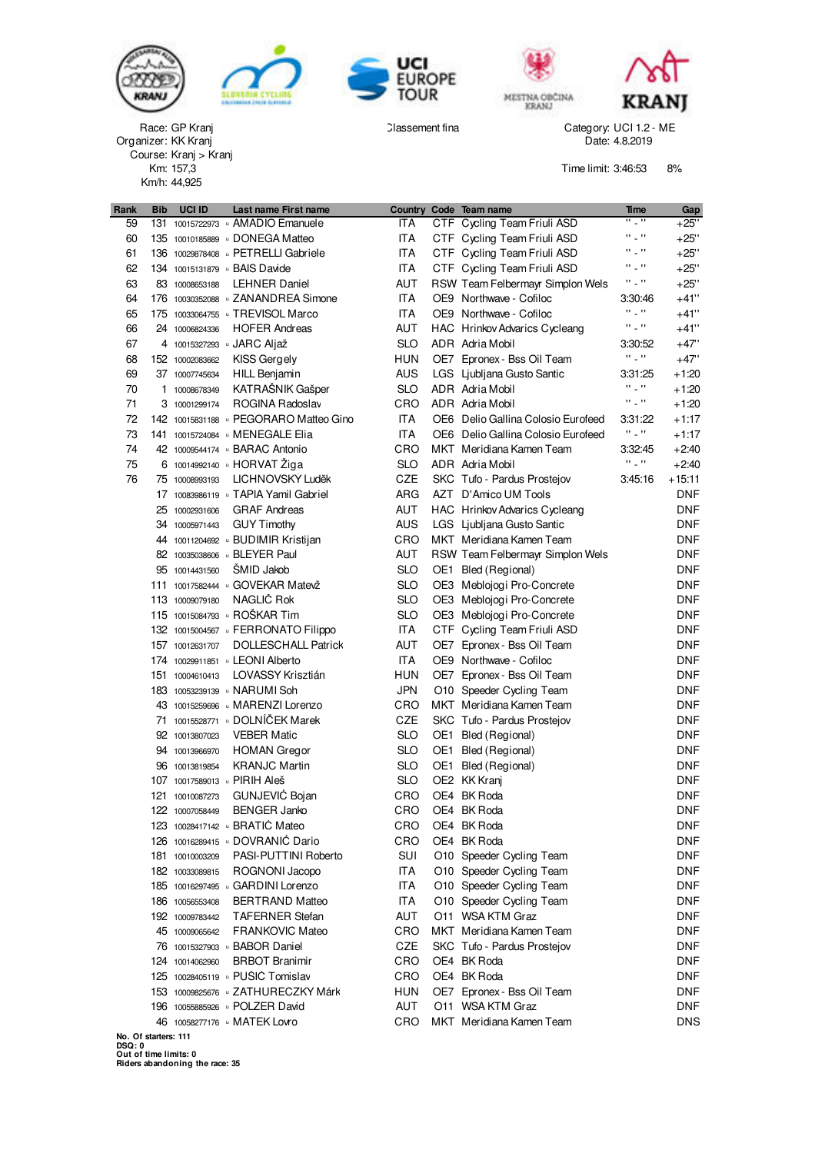







GP Kranj New York Category: UCI 1.2 - ME Category: UCI 1.2 - ME Classement fina

MESTNA OBČINA



KK Kranj Date: 4.8.2019 Km/h: 44,925 Km: Race: GP Kranj<br>Organizer: KK Kranj Course: Kranj > Kranj

Time limit: 3:46:53 8%

| Rank                 | <b>Bib</b> | UCI ID          | Last name First name                 |            | Country Code Team name             | Time                    | Gap        |
|----------------------|------------|-----------------|--------------------------------------|------------|------------------------------------|-------------------------|------------|
| 59                   |            |                 | 131 10015722973 AMADIO Emanuele      | ITA        | CTF Cycling Team Friuli ASD        | H _ H                   | $+25"$     |
| 60                   |            |                 | 135 10010185889 DONEGA Matteo        | ITA        | CTF Cycling Team Friuli ASD        | $\Omega_{\rm{max}}$     | $+25"$     |
| 61                   |            |                 | 136 10029878408 DETRELLI Gabriele    | ITA        | CTF Cycling Team Friuli ASD        | H _ H                   | $+25"$     |
| 62                   |            |                 | 134 10015131879 BAIS Davide          | ITA        | CTF Cycling Team Friuli ASD        | H _ H                   | $+25"$     |
| 63                   |            | 83 10008653188  | <b>LEHNER Daniel</b>                 | AUT        | RSW Team Felbermayr Simplon Wels   | H _ H                   | $+25"$     |
| 64                   |            |                 | 176 10030352088 JZANANDREA Simone    | <b>ITA</b> | OE9 Northwave - Cofiloc            | 3:30:46                 | $+41"$     |
| 65                   |            |                 | 175 10033064755 J TREVISOL Marco     | <b>ITA</b> | OE9 Northwave - Cofiloc            | H _ H                   | $+41"$     |
| 66                   |            | 24 10006824336  | <b>HOFER Andreas</b>                 | AUT        | HAC Hrinkov Advarics Cycleang      | $\Omega_{\rm{max}}$     | $+41"$     |
| 67                   |            |                 | 4 10015327293 JARC Aljaž             | <b>SLO</b> | ADR Adria Mobil                    | 3:30:52                 | $+47"$     |
| 68                   |            | 152 10002083662 | KISS Gergely                         | HUN        | OE7 Epronex - Bss Oil Team         | H 2 H                   | $+47"$     |
| 69                   |            | 37 10007745634  | <b>HILL Benjamin</b>                 | AUS        | LGS Ljubljana Gusto Santic         | 3:31:25                 | +1:20      |
| 70                   |            | 1 10008678349   | KATRAŠNIK Gašper                     | <b>SLO</b> | ADR Adria Mobil                    | $\Omega \subset \Omega$ | $+1:20$    |
| 71                   |            | 3 10001299174   | ROGINA Radoslav                      | CRO        | ADR Adria Mobil                    | $\Omega_{\rm{max}}$     | $+1:20$    |
| 72                   |            |                 | 142 10015831188 DEGORARO Matteo Gino | <b>ITA</b> | OE6 Delio Gallina Colosio Eurofeed | 3:31:22                 | $+1:17$    |
| 73                   |            |                 | 141 10015724084 MENEGALE Elia        | <b>ITA</b> | OE6 Delio Gallina Colosio Eurofeed | H _ H                   | $+1:17$    |
| 74                   |            |                 | 42 10009544174 BARAC Antonio         | CRO        | MKT Meridiana Kamen Team           | 3:32:45                 | $+2:40$    |
| 75                   |            |                 | 6 10014992140 B HORVAT Ziga          | <b>SLO</b> | ADR Adria Mobil                    | $\Omega_{\rm{max}}$     | $+2:40$    |
| 76                   |            | 75 10008993193  | LICHNOVSKÝ Luděk                     | <b>CZE</b> | SKC Tufo - Pardus Prostejov        | 3:45:16                 | $+15:11$   |
|                      |            |                 | 17 10083986119 J TAPIA Yamil Gabriel | <b>ARG</b> | AZT D'Amico UM Tools               |                         | DNF        |
|                      |            | 25 10002931606  | <b>GRAF Andreas</b>                  | AUT        | HAC Hrinkov Advarics Cycleang      |                         | DNF        |
|                      |            | 34 10005971443  | <b>GUY Timothy</b>                   | AUS        | LGS Ljubljana Gusto Santic         |                         | DNF        |
|                      |            |                 | 44 10011204692 BUDIMIR Kristijan     | CRO        | MKT Meridiana Kamen Team           |                         | DNF        |
|                      |            |                 | 82 10035038606 BLEYER Paul           | AUT        | RSW Team Felbermayr Simplon Wels   |                         | DNF        |
|                      |            | 95 10014431560  | ŠMID Jakob                           | <b>SLO</b> | OE1 Bled (Regional)                |                         | DNF        |
|                      |            |                 | 111 10017582444 GOVEKAR Matevž       | <b>SLO</b> | OE3 Meblojogi Pro-Concrete         |                         | DNF        |
|                      |            | 113 10009079180 | NAGLIČ Rok                           | <b>SLO</b> | OE3 Meblojogi Pro-Concrete         |                         | DNF        |
|                      |            |                 | 115 10015084793 BOŠKAR Tim           | <b>SLO</b> | OE3 Meblojogi Pro-Concrete         |                         | <b>DNF</b> |
|                      |            |                 | 132 10015004567 GERRONATO Filippo    | ITA        | CTF Cycling Team Friuli ASD        |                         | DNF        |
|                      |            | 157 10012631707 | <b>DOLLESCHALL Patrick</b>           | AUT        | OE7 Epronex - Bss Oil Team         |                         | DNF        |
|                      |            |                 | 174 10029911851 LEONI Alberto        | <b>ITA</b> | OE9 Northwave - Cofiloc            |                         | DNF        |
|                      |            | 151 10004610413 | LOVASSY Krisztián                    | HUN        | OE7 Epronex - Bss Oil Team         |                         | DNF        |
|                      |            |                 | 183 10053239139 J NARUMI Soh         | <b>JPN</b> | O10 Speeder Cycling Team           |                         | DNF        |
|                      |            |                 | 43 10015259696 MARENZI Lorenzo       | CRO        | MKT Meridiana Kamen Team           |                         | DNF        |
|                      |            |                 | 71 10015528771 DOLNÍČEK Marek        | CZE        | SKC Tufo - Pardus Prostejov        |                         | DNF        |
|                      |            | 92 10013807023  | <b>VEBER Matic</b>                   | <b>SLO</b> | OE1 Bled (Regional)                |                         | DNF        |
|                      |            | 94 10013966970  | <b>HOMAN</b> Gregor                  | <b>SLO</b> | OE1 Bled (Regional)                |                         | DNF        |
|                      |            | 96 10013819854  | <b>KRANJC Martin</b>                 | <b>SLO</b> | OE1 Bled (Regional)                |                         | DNF        |
|                      |            |                 | 107 10017589013 DIRIH Aleš           | <b>SLO</b> | OE2 KK Kranj                       |                         | DNF        |
|                      |            | 121 10010087273 | GUNJEVIĆ Bojan                       | CRO        | OE4 BK Roda                        |                         | <b>DNF</b> |
|                      |            | 122 10007058449 | <b>BENGER Janko</b>                  | CRO        | OE4 BK Roda                        |                         | <b>DNF</b> |
|                      |            |                 | 123 10028417142 BRATIC Mateo         | CRO        | OE4 BK Roda                        |                         | DNF.       |
|                      |            |                 | 126 10016289415 DOVRANIC Dario       | CRO        | OE4 BK Roda                        |                         | <b>DNF</b> |
|                      |            | 181 10010003209 | PASI-PUTTINI Roberto                 | SUI        | O10 Speeder Cycling Team           |                         | <b>DNF</b> |
|                      |            | 182 10033089815 | ROGNONI Jacopo                       | ITA        | O10 Speeder Cycling Team           |                         | DNF        |
|                      |            |                 | 185 10016297495 GARDINI Lorenzo      | <b>ITA</b> | O10 Speeder Cycling Team           |                         | <b>DNF</b> |
|                      |            | 186 10056553408 | <b>BERTRAND Matteo</b>               | ITA        | O10 Speeder Cycling Team           |                         | <b>DNF</b> |
|                      |            | 192 10009783442 | <b>TAFERNER Stefan</b>               | AUT        | O11 WSA KTM Graz                   |                         | <b>DNF</b> |
|                      |            | 45 10009065642  | <b>FRANKOVIC Mateo</b>               | CRO        | MKT Meridiana Kamen Team           |                         | <b>DNF</b> |
|                      |            |                 | 76 10015327903 BABOR Daniel          | CZE        | SKC Tufo - Pardus Prostejov        |                         | <b>DNF</b> |
|                      |            | 124 10014062960 | <b>BRBOT Branimir</b>                | CRO        | OE4 BK Roda                        |                         | <b>DNF</b> |
|                      |            |                 | 125 10028405119 · PUŠIĆ Tomislav     | CRO        | OE4 BK Roda                        |                         | <b>DNF</b> |
|                      |            |                 | 153 10009825676 u ZATHURECZKY Márk   | HUN        | OE7 Epronex - Bss Oil Team         |                         | <b>DNF</b> |
|                      |            |                 | 196 10055885926 DOLZER David         | AUT        | O11 WSA KTM Graz                   |                         | <b>DNF</b> |
|                      |            |                 | 46 10058277176 MATEK Lovro           | CRO        | MKT Meridiana Kamen Team           |                         | <b>DNS</b> |
| No. Of starters: 111 |            |                 |                                      |            |                                    |                         |            |

 $\frac{1}{2}$  but of time limits: 0  $\alpha$  doers abandoning the race: 35  $\alpha$ **No. Of starters: 111 DSQ: 0 Out of time limits: 0 Riders abandoning the race: 35**